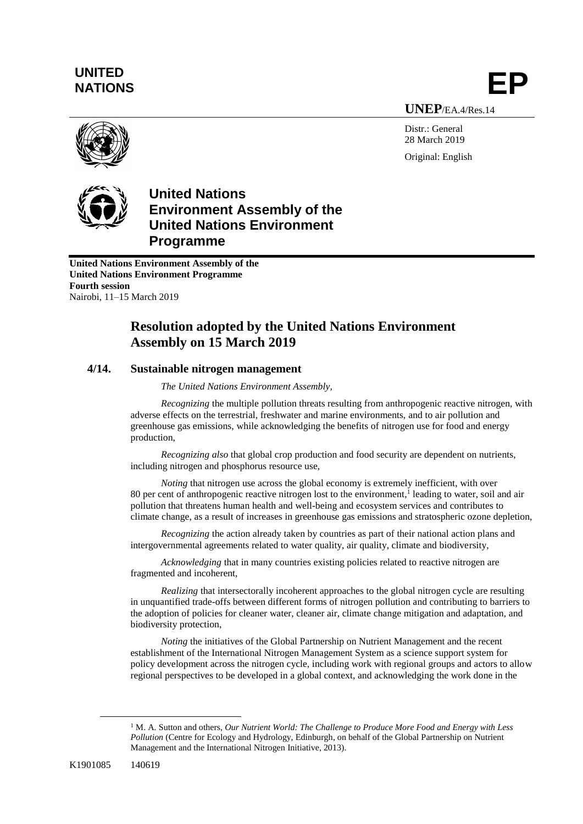## **UNITED** UNITED<br>NATIONS **EP**

**UNEP**/EA.4/Res.14

Distr.: General 28 March 2019 Original: English





**United Nations Environment Assembly of the United Nations Environment Programme Fourth session** Nairobi, 11–15 March 2019

## **Resolution adopted by the United Nations Environment Assembly on 15 March 2019**

## **4/14. Sustainable nitrogen management**

*The United Nations Environment Assembly,*

*Recognizing* the multiple pollution threats resulting from anthropogenic reactive nitrogen, with adverse effects on the terrestrial, freshwater and marine environments, and to air pollution and greenhouse gas emissions, while acknowledging the benefits of nitrogen use for food and energy production,

*Recognizing also* that global crop production and food security are dependent on nutrients, including nitrogen and phosphorus resource use,

*Noting* that nitrogen use across the global economy is extremely inefficient, with over 80 per cent of anthropogenic reactive nitrogen lost to the environment, 1 leading to water, soil and air pollution that threatens human health and well-being and ecosystem services and contributes to climate change, as a result of increases in greenhouse gas emissions and stratospheric ozone depletion,

*Recognizing* the action already taken by countries as part of their national action plans and intergovernmental agreements related to water quality, air quality, climate and biodiversity,

*Acknowledging* that in many countries existing policies related to reactive nitrogen are fragmented and incoherent,

*Realizing* that intersectorally incoherent approaches to the global nitrogen cycle are resulting in unquantified trade-offs between different forms of nitrogen pollution and contributing to barriers to the adoption of policies for cleaner water, cleaner air, climate change mitigation and adaptation, and biodiversity protection,

*Noting* the initiatives of the Global Partnership on Nutrient Management and the recent establishment of the International Nitrogen Management System as a science support system for policy development across the nitrogen cycle, including work with regional groups and actors to allow regional perspectives to be developed in a global context, and acknowledging the work done in the

 $\overline{a}$ 

<sup>1</sup> M. A. Sutton and others, *Our Nutrient World: The Challenge to Produce More Food and Energy with Less Pollution* (Centre for Ecology and Hydrology, Edinburgh, on behalf of the Global Partnership on Nutrient Management and the International Nitrogen Initiative, 2013).